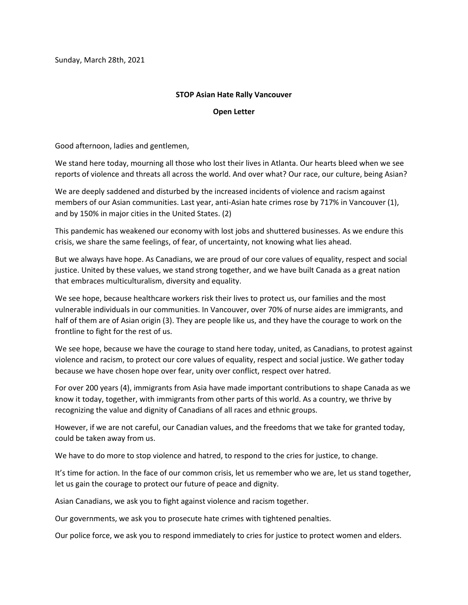Sunday, March 28th, 2021

## **STOP Asian Hate Rally Vancouver**

## **Open Letter**

Good afternoon, ladies and gentlemen,

We stand here today, mourning all those who lost their lives in Atlanta. Our hearts bleed when we see reports of violence and threats all across the world. And over what? Our race, our culture, being Asian?

We are deeply saddened and disturbed by the increased incidents of violence and racism against members of our Asian communities. Last year, anti-Asian hate crimes rose by 717% in Vancouver (1), and by 150% in major cities in the United States. (2)

This pandemic has weakened our economy with lost jobs and shuttered businesses. As we endure this crisis, we share the same feelings, of fear, of uncertainty, not knowing what lies ahead.

But we always have hope. As Canadians, we are proud of our core values of equality, respect and social justice. United by these values, we stand strong together, and we have built Canada as a great nation that embraces multiculturalism, diversity and equality.

We see hope, because healthcare workers risk their lives to protect us, our families and the most vulnerable individuals in our communities. In Vancouver, over 70% of nurse aides are immigrants, and half of them are of Asian origin (3). They are people like us, and they have the courage to work on the frontline to fight for the rest of us.

We see hope, because we have the courage to stand here today, united, as Canadians, to protest against violence and racism, to protect our core values of equality, respect and social justice. We gather today because we have chosen hope over fear, unity over conflict, respect over hatred.

For over 200 years (4), immigrants from Asia have made important contributions to shape Canada as we know it today, together, with immigrants from other parts of this world. As a country, we thrive by recognizing the value and dignity of Canadians of all races and ethnic groups.

However, if we are not careful, our Canadian values, and the freedoms that we take for granted today, could be taken away from us.

We have to do more to stop violence and hatred, to respond to the cries for justice, to change.

It's time for action. In the face of our common crisis, let us remember who we are, let us stand together, let us gain the courage to protect our future of peace and dignity.

Asian Canadians, we ask you to fight against violence and racism together.

Our governments, we ask you to prosecute hate crimes with tightened penalties.

Our police force, we ask you to respond immediately to cries for justice to protect women and elders.